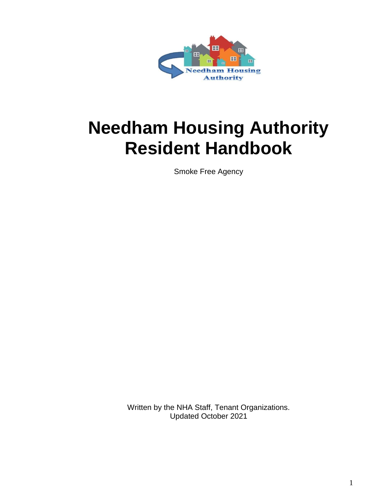

# **Needham Housing Authority Resident Handbook**

Smoke Free Agency

Written by the NHA Staff, Tenant Organizations. Updated October 2021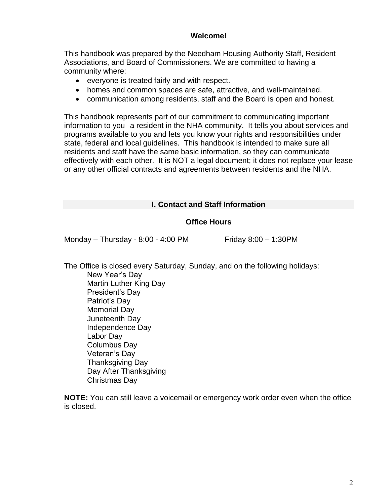## **Welcome!**

This handbook was prepared by the Needham Housing Authority Staff, Resident Associations, and Board of Commissioners. We are committed to having a community where:

- everyone is treated fairly and with respect.
- homes and common spaces are safe, attractive, and well-maintained.
- communication among residents, staff and the Board is open and honest.

This handbook represents part of our commitment to communicating important information to you--a resident in the NHA community. It tells you about services and programs available to you and lets you know your rights and responsibilities under state, federal and local guidelines. This handbook is intended to make sure all residents and staff have the same basic information, so they can communicate effectively with each other. It is NOT a legal document; it does not replace your lease or any other official contracts and agreements between residents and the NHA.

## **I. Contact and Staff Information**

## **Office Hours**

Monday – Thursday - 8:00 - 4:00 PM Friday 8:00 – 1:30PM

The Office is closed every Saturday, Sunday, and on the following holidays: New Year's Day Martin Luther King Day President's Day Patriot's Day Memorial Day Juneteenth Day Independence Day Labor Day Columbus Day Veteran's Day

Thanksgiving Day Day After Thanksgiving

Christmas Day

**NOTE:** You can still leave a voicemail or emergency work order even when the office is closed.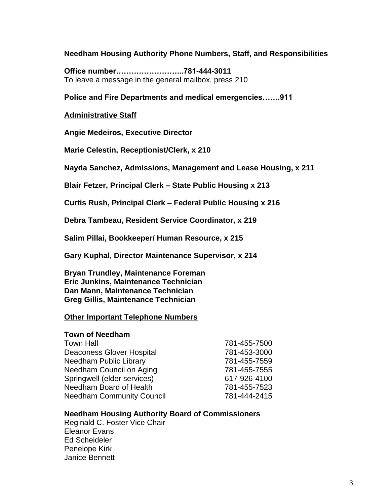**Needham Housing Authority Phone Numbers, Staff, and Responsibilities**

**Office number……………………...781-444-3011** To leave a message in the general mailbox, press 210

**Police and Fire Departments and medical emergencies…….911**

#### **Administrative Staff**

**Angie Medeiros, Executive Director**

**Marie Celestin, Receptionist/Clerk, x 210**

**Nayda Sanchez, Admissions, Management and Lease Housing, x 211**

**Blair Fetzer, Principal Clerk – State Public Housing x 213**

**Curtis Rush, Principal Clerk – Federal Public Housing x 216**

**Debra Tambeau, Resident Service Coordinator, x 219**

**Salim Pillai, Bookkeeper/ Human Resource, x 215**

**Gary Kuphal, Director Maintenance Supervisor, x 214**

**Bryan Trundley, Maintenance Foreman Eric Junkins, Maintenance Technician Dan Mann, Maintenance Technician Greg Gillis, Maintenance Technician**

## **Other Important Telephone Numbers**

#### **Town of Needham**

| <b>Town Hall</b>                 | 781-455-7500 |
|----------------------------------|--------------|
| <b>Deaconess Glover Hospital</b> | 781-453-3000 |
| Needham Public Library           | 781-455-7559 |
| Needham Council on Aging         | 781-455-7555 |
| Springwell (elder services)      | 617-926-4100 |
| Needham Board of Health          | 781-455-7523 |
| <b>Needham Community Council</b> | 781-444-2415 |

#### **Needham Housing Authority Board of Commissioners**

Reginald C. Foster Vice Chair Eleanor Evans Ed Scheideler Penelope Kirk Janice Bennett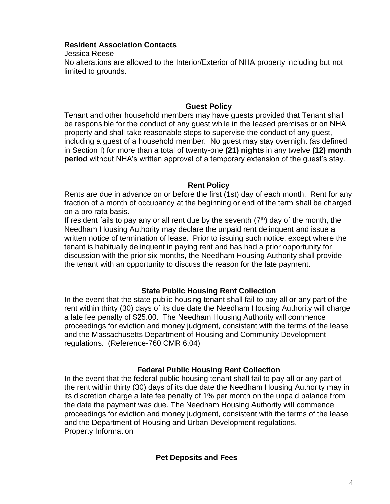## **Resident Association Contacts**

Jessica Reese No alterations are allowed to the Interior/Exterior of NHA property including but not limited to grounds.

# **Guest Policy**

Tenant and other household members may have guests provided that Tenant shall be responsible for the conduct of any guest while in the leased premises or on NHA property and shall take reasonable steps to supervise the conduct of any guest, including a guest of a household member. No guest may stay overnight (as defined in Section I) for more than a total of twenty-one **(21) nights** in any twelve **(12) month period** without NHA's written approval of a temporary extension of the guest's stay.

# **Rent Policy**

Rents are due in advance on or before the first (1st) day of each month. Rent for any fraction of a month of occupancy at the beginning or end of the term shall be charged on a pro rata basis.

If resident fails to pay any or all rent due by the seventh  $(7<sup>th</sup>)$  day of the month, the Needham Housing Authority may declare the unpaid rent delinquent and issue a written notice of termination of lease. Prior to issuing such notice, except where the tenant is habitually delinquent in paying rent and has had a prior opportunity for discussion with the prior six months, the Needham Housing Authority shall provide the tenant with an opportunity to discuss the reason for the late payment.

# **State Public Housing Rent Collection**

In the event that the state public housing tenant shall fail to pay all or any part of the rent within thirty (30) days of its due date the Needham Housing Authority will charge a late fee penalty of \$25.00. The Needham Housing Authority will commence proceedings for eviction and money judgment, consistent with the terms of the lease and the Massachusetts Department of Housing and Community Development regulations. (Reference-760 CMR 6.04)

# **Federal Public Housing Rent Collection**

In the event that the federal public housing tenant shall fail to pay all or any part of the rent within thirty (30) days of its due date the Needham Housing Authority may in its discretion charge a late fee penalty of 1% per month on the unpaid balance from the date the payment was due. The Needham Housing Authority will commence proceedings for eviction and money judgment, consistent with the terms of the lease and the Department of Housing and Urban Development regulations. Property Information

# **Pet Deposits and Fees**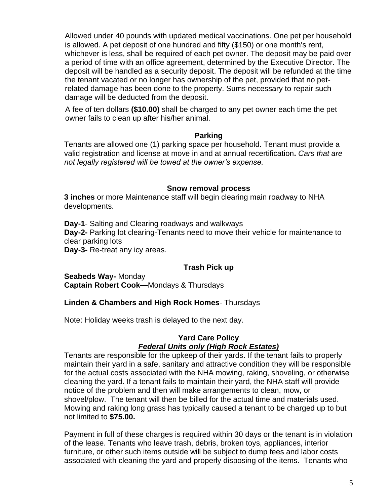Allowed under 40 pounds with updated medical vaccinations. One pet per household is allowed. A pet deposit of one hundred and fifty (\$150) or one month's rent, whichever is less, shall be required of each pet owner. The deposit may be paid over a period of time with an office agreement, determined by the Executive Director. The deposit will be handled as a security deposit. The deposit will be refunded at the time the tenant vacated or no longer has ownership of the pet, provided that no petrelated damage has been done to the property. Sums necessary to repair such damage will be deducted from the deposit.

A fee of ten dollars **(\$10.00)** shall be charged to any pet owner each time the pet owner fails to clean up after his/her animal.

#### **Parking**

Tenants are allowed one (1) parking space per household. Tenant must provide a valid registration and license at move in and at annual recertification**.** *Cars that are not legally registered will be towed at the owner's expense.* 

## **Snow removal process**

**3 inches** or more Maintenance staff will begin clearing main roadway to NHA developments.

**Day-1**- Salting and Clearing roadways and walkways **Day-2-** Parking lot clearing-Tenants need to move their vehicle for maintenance to clear parking lots **Day-3-** Re-treat any icy areas.

# **Trash Pick up**

**Seabeds Way-** Monday **Captain Robert Cook—**Mondays & Thursdays

## **Linden & Chambers and High Rock Homes**- Thursdays

Note: Holiday weeks trash is delayed to the next day.

#### **Yard Care Policy** *Federal Units only (High Rock Estates)*

Tenants are responsible for the upkeep of their yards. If the tenant fails to properly maintain their yard in a safe, sanitary and attractive condition they will be responsible for the actual costs associated with the NHA mowing, raking, shoveling, or otherwise cleaning the yard. If a tenant fails to maintain their yard, the NHA staff will provide notice of the problem and then will make arrangements to clean, mow, or shovel/plow. The tenant will then be billed for the actual time and materials used. Mowing and raking long grass has typically caused a tenant to be charged up to but not limited to **\$75.00.**

Payment in full of these charges is required within 30 days or the tenant is in violation of the lease. Tenants who leave trash, debris, broken toys, appliances, interior furniture, or other such items outside will be subject to dump fees and labor costs associated with cleaning the yard and properly disposing of the items. Tenants who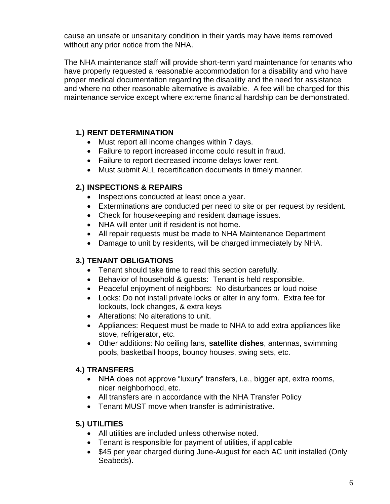cause an unsafe or unsanitary condition in their yards may have items removed without any prior notice from the NHA.

The NHA maintenance staff will provide short-term yard maintenance for tenants who have properly requested a reasonable accommodation for a disability and who have proper medical documentation regarding the disability and the need for assistance and where no other reasonable alternative is available. A fee will be charged for this maintenance service except where extreme financial hardship can be demonstrated.

# **1.) RENT DETERMINATION**

- Must report all income changes within 7 days.
- Failure to report increased income could result in fraud.
- Failure to report decreased income delays lower rent.
- Must submit ALL recertification documents in timely manner.

# **2.) INSPECTIONS & REPAIRS**

- Inspections conducted at least once a year.
- Exterminations are conducted per need to site or per request by resident.
- Check for housekeeping and resident damage issues.
- NHA will enter unit if resident is not home.
- All repair requests must be made to NHA Maintenance Department
- Damage to unit by residents, will be charged immediately by NHA.

# **3.) TENANT OBLIGATIONS**

- Tenant should take time to read this section carefully.
- Behavior of household & guests: Tenant is held responsible.
- Peaceful enjoyment of neighbors: No disturbances or loud noise
- Locks: Do not install private locks or alter in any form. Extra fee for lockouts, lock changes, & extra keys
- Alterations: No alterations to unit.
- Appliances: Request must be made to NHA to add extra appliances like stove, refrigerator, etc.
- Other additions: No ceiling fans, **satellite dishes**, antennas, swimming pools, basketball hoops, bouncy houses, swing sets, etc.

# **4.) TRANSFERS**

- NHA does not approve "luxury" transfers, i.e., bigger apt, extra rooms, nicer neighborhood, etc.
- All transfers are in accordance with the NHA Transfer Policy
- Tenant MUST move when transfer is administrative.

# **5.) UTILITIES**

- All utilities are included unless otherwise noted.
- Tenant is responsible for payment of utilities, if applicable
- \$45 per year charged during June-August for each AC unit installed (Only Seabeds).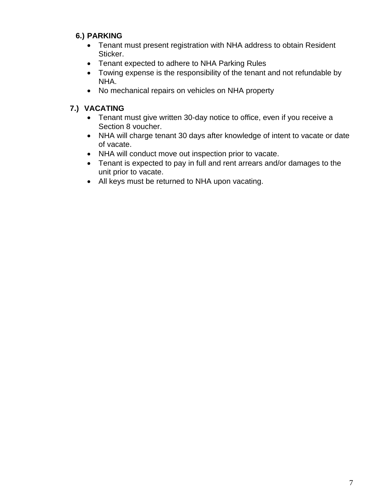# **6.) PARKING**

- Tenant must present registration with NHA address to obtain Resident Sticker.
- Tenant expected to adhere to NHA Parking Rules
- Towing expense is the responsibility of the tenant and not refundable by NHA.
- No mechanical repairs on vehicles on NHA property

# **7.) VACATING**

- Tenant must give written 30-day notice to office, even if you receive a Section 8 voucher.
- NHA will charge tenant 30 days after knowledge of intent to vacate or date of vacate.
- NHA will conduct move out inspection prior to vacate.
- Tenant is expected to pay in full and rent arrears and/or damages to the unit prior to vacate.
- All keys must be returned to NHA upon vacating.